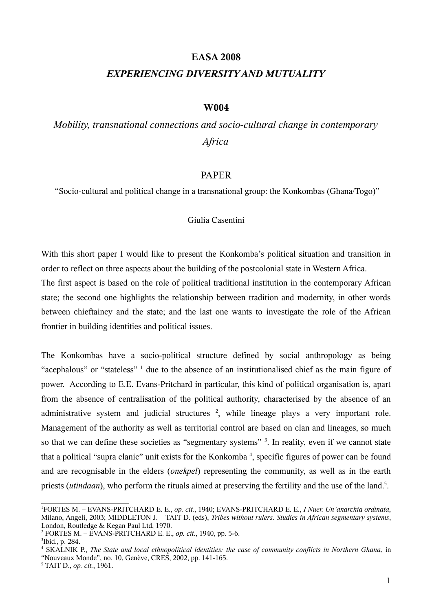# **EASA 2008**

# *EXPERIENCING DIVERSITY AND MUTUALITY*

## **W004**

# *Mobility, transnational connections and socio-cultural change in contemporary Africa*

#### PAPER

"Socio-cultural and political change in a transnational group: the Konkombas (Ghana/Togo)"

### Giulia Casentini

With this short paper I would like to present the Konkomba's political situation and transition in order to reflect on three aspects about the building of the postcolonial state in Western Africa. The first aspect is based on the role of political traditional institution in the contemporary African state; the second one highlights the relationship between tradition and modernity, in other words between chieftaincy and the state; and the last one wants to investigate the role of the African frontier in building identities and political issues.

The Konkombas have a socio-political structure defined by social anthropology as being "acephalous" or "stateless" <sup>[1](#page-0-0)</sup> due to the absence of an institutionalised chief as the main figure of power. According to E.E. Evans-Pritchard in particular, this kind of political organisation is, apart from the absence of centralisation of the political authority, characterised by the absence of an administrative system and judicial structures <sup>[2](#page-0-1)</sup>, while lineage plays a very important role. Management of the authority as well as territorial control are based on clan and lineages, so much so that we can define these societies as "segmentary systems" <sup>[3](#page-0-2)</sup>. In reality, even if we cannot state that a political "supra clanic" unit exists for the Konkomba<sup>[4](#page-0-3)</sup>, specific figures of power can be found and are recognisable in the elders (*onekpel*) representing the community, as well as in the earth priests (*utindaan*), who perform the rituals aimed at preserving the fertility and the use of the land.<sup>[5](#page-0-4)</sup>.

<span id="page-0-0"></span><sup>1</sup>FORTES M. – EVANS-PRITCHARD E. E., *op. cit.*, 1940; EVANS-PRITCHARD E. E., *I Nuer. Un'anarchia ordinata*, Milano, Angeli, 2003; MIDDLETON J. – TAIT D. (eds), *Tribes without rulers. Studies in African segmentary systems*, London, Routledge & Kegan Paul Ltd, 1970.

<span id="page-0-1"></span><sup>2</sup> FORTES M. – EVANS-PRITCHARD E. E., *op. cit.*, 1940, pp. 5-6.

<span id="page-0-2"></span><sup>3</sup> Ibid., p. 284.

<span id="page-0-3"></span><sup>4</sup> SKALNIK P., *The State and local ethnopolitical identities: the case of community conflicts in Northern Ghana*, in

<sup>&</sup>quot;Nouveaux Monde", no. 10, Genève, CRES, 2002, pp. 141-165.

<span id="page-0-4"></span><sup>5</sup> TAIT D., *op. cit.*, 1961.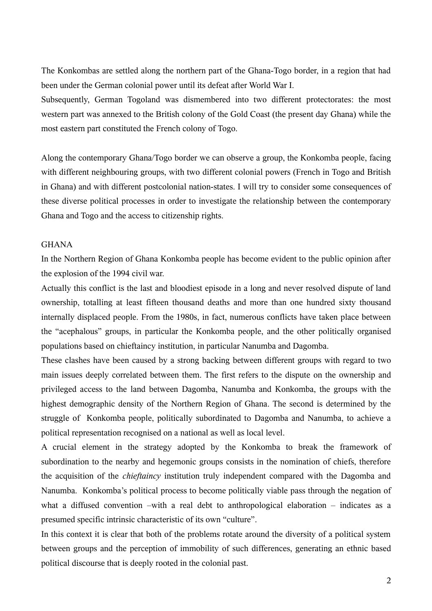The Konkombas are settled along the northern part of the Ghana-Togo border, in a region that had been under the German colonial power until its defeat after World War I.

Subsequently, German Togoland was dismembered into two different protectorates: the most western part was annexed to the British colony of the Gold Coast (the present day Ghana) while the most eastern part constituted the French colony of Togo.

Along the contemporary Ghana/Togo border we can observe a group, the Konkomba people, facing with different neighbouring groups, with two different colonial powers (French in Togo and British in Ghana) and with different postcolonial nation-states. I will try to consider some consequences of these diverse political processes in order to investigate the relationship between the contemporary Ghana and Togo and the access to citizenship rights.

#### GHANA

In the Northern Region of Ghana Konkomba people has become evident to the public opinion after the explosion of the 1994 civil war.

Actually this conflict is the last and bloodiest episode in a long and never resolved dispute of land ownership, totalling at least fifteen thousand deaths and more than one hundred sixty thousand internally displaced people. From the 1980s, in fact, numerous conflicts have taken place between the "acephalous" groups, in particular the Konkomba people, and the other politically organised populations based on chieftaincy institution, in particular Nanumba and Dagomba.

These clashes have been caused by a strong backing between different groups with regard to two main issues deeply correlated between them. The first refers to the dispute on the ownership and privileged access to the land between Dagomba, Nanumba and Konkomba, the groups with the highest demographic density of the Northern Region of Ghana. The second is determined by the struggle of Konkomba people, politically subordinated to Dagomba and Nanumba, to achieve a political representation recognised on a national as well as local level.

A crucial element in the strategy adopted by the Konkomba to break the framework of subordination to the nearby and hegemonic groups consists in the nomination of chiefs, therefore the acquisition of the *chieftaincy* institution truly independent compared with the Dagomba and Nanumba. Konkomba's political process to become politically viable pass through the negation of what a diffused convention –with a real debt to anthropological elaboration – indicates as a presumed specific intrinsic characteristic of its own "culture".

In this context it is clear that both of the problems rotate around the diversity of a political system between groups and the perception of immobility of such differences, generating an ethnic based political discourse that is deeply rooted in the colonial past.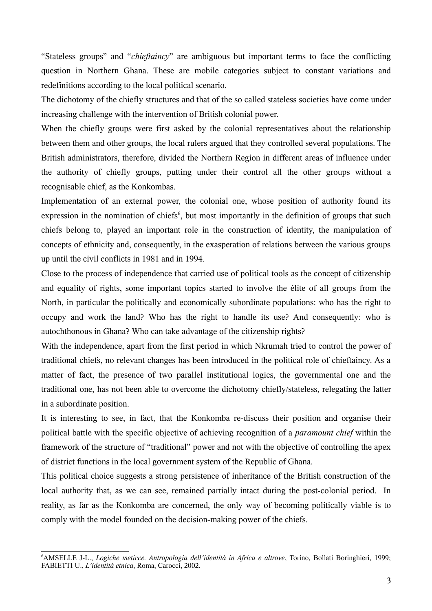"Stateless groups" and "*chieftaincy*" are ambiguous but important terms to face the conflicting question in Northern Ghana. These are mobile categories subject to constant variations and redefinitions according to the local political scenario.

The dichotomy of the chiefly structures and that of the so called stateless societies have come under increasing challenge with the intervention of British colonial power.

When the chiefly groups were first asked by the colonial representatives about the relationship between them and other groups, the local rulers argued that they controlled several populations. The British administrators, therefore, divided the Northern Region in different areas of influence under the authority of chiefly groups, putting under their control all the other groups without a recognisable chief, as the Konkombas.

Implementation of an external power, the colonial one, whose position of authority found its expression in the nomination of chiefs<sup>[6](#page-2-0)</sup>, but most importantly in the definition of groups that such chiefs belong to, played an important role in the construction of identity, the manipulation of concepts of ethnicity and, consequently, in the exasperation of relations between the various groups up until the civil conflicts in 1981 and in 1994.

Close to the process of independence that carried use of political tools as the concept of citizenship and equality of rights, some important topics started to involve the élite of all groups from the North, in particular the politically and economically subordinate populations: who has the right to occupy and work the land? Who has the right to handle its use? And consequently: who is autochthonous in Ghana? Who can take advantage of the citizenship rights?

With the independence, apart from the first period in which Nkrumah tried to control the power of traditional chiefs, no relevant changes has been introduced in the political role of chieftaincy. As a matter of fact, the presence of two parallel institutional logics, the governmental one and the traditional one, has not been able to overcome the dichotomy chiefly/stateless, relegating the latter in a subordinate position.

It is interesting to see, in fact, that the Konkomba re-discuss their position and organise their political battle with the specific objective of achieving recognition of a *paramount chief* within the framework of the structure of "traditional" power and not with the objective of controlling the apex of district functions in the local government system of the Republic of Ghana.

This political choice suggests a strong persistence of inheritance of the British construction of the local authority that, as we can see, remained partially intact during the post-colonial period. In reality, as far as the Konkomba are concerned, the only way of becoming politically viable is to comply with the model founded on the decision-making power of the chiefs.

<span id="page-2-0"></span><sup>6</sup>AMSELLE J-L., *Logiche meticce. Antropologia dell'identità in Africa e altrove*, Torino, Bollati Boringhieri, 1999; FABIETTI U., *L'identità etnica*, Roma, Carocci, 2002.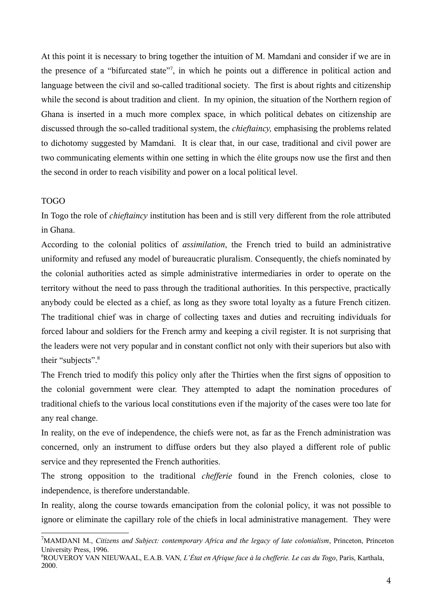At this point it is necessary to bring together the intuition of M. Mamdani and consider if we are in the presence of a "bifurcated state" [7](#page-3-0) , in which he points out a difference in political action and language between the civil and so-called traditional society. The first is about rights and citizenship while the second is about tradition and client. In my opinion, the situation of the Northern region of Ghana is inserted in a much more complex space, in which political debates on citizenship are discussed through the so-called traditional system, the *chieftaincy,* emphasising the problems related to dichotomy suggested by Mamdani. It is clear that, in our case, traditional and civil power are two communicating elements within one setting in which the élite groups now use the first and then the second in order to reach visibility and power on a local political level.

## TOGO

In Togo the role of *chieftaincy* institution has been and is still very different from the role attributed in Ghana.

According to the colonial politics of *assimilation*, the French tried to build an administrative uniformity and refused any model of bureaucratic pluralism. Consequently, the chiefs nominated by the colonial authorities acted as simple administrative intermediaries in order to operate on the territory without the need to pass through the traditional authorities. In this perspective, practically anybody could be elected as a chief, as long as they swore total loyalty as a future French citizen. The traditional chief was in charge of collecting taxes and duties and recruiting individuals for forced labour and soldiers for the French army and keeping a civil register. It is not surprising that the leaders were not very popular and in constant conflict not only with their superiors but also with their "subjects". [8](#page-3-1)

The French tried to modify this policy only after the Thirties when the first signs of opposition to the colonial government were clear. They attempted to adapt the nomination procedures of traditional chiefs to the various local constitutions even if the majority of the cases were too late for any real change.

In reality, on the eve of independence, the chiefs were not, as far as the French administration was concerned, only an instrument to diffuse orders but they also played a different role of public service and they represented the French authorities.

The strong opposition to the traditional *chefferie* found in the French colonies, close to independence, is therefore understandable.

In reality, along the course towards emancipation from the colonial policy, it was not possible to ignore or eliminate the capillary role of the chiefs in local administrative management. They were

<span id="page-3-0"></span><sup>7</sup>MAMDANI M., *Citizens and Subject: contemporary Africa and the legacy of late colonialism*, Princeton, Princeton University Press, 1996.

<span id="page-3-1"></span><sup>8</sup>ROUVEROY VAN NIEUWAAL, E.A.B. VAN*, L'État en Afrique face à la chefferie. Le cas du Togo*, Paris, Karthala, 2000.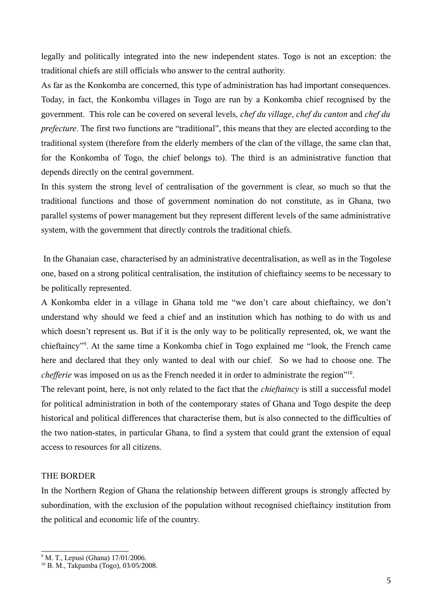legally and politically integrated into the new independent states. Togo is not an exception: the traditional chiefs are still officials who answer to the central authority.

As far as the Konkomba are concerned, this type of administration has had important consequences. Today, in fact, the Konkomba villages in Togo are run by a Konkomba chief recognised by the government. This role can be covered on several levels, *chef du village*, *chef du canton* and *chef du prefecture*. The first two functions are "traditional", this means that they are elected according to the traditional system (therefore from the elderly members of the clan of the village, the same clan that, for the Konkomba of Togo, the chief belongs to). The third is an administrative function that depends directly on the central government.

In this system the strong level of centralisation of the government is clear, so much so that the traditional functions and those of government nomination do not constitute, as in Ghana, two parallel systems of power management but they represent different levels of the same administrative system, with the government that directly controls the traditional chiefs.

In the Ghanaian case, characterised by an administrative decentralisation, as well as in the Togolese one, based on a strong political centralisation, the institution of chieftaincy seems to be necessary to be politically represented.

A Konkomba elder in a village in Ghana told me "we don't care about chieftaincy, we don't understand why should we feed a chief and an institution which has nothing to do with us and which doesn't represent us. But if it is the only way to be politically represented, ok, we want the chieftaincy"[9](#page-4-0) . At the same time a Konkomba chief in Togo explained me "look, the French came here and declared that they only wanted to deal with our chief. So we had to choose one. The *chefferie* was imposed on us as the French needed it in order to administrate the region"<sup>[10](#page-4-1)</sup>.

The relevant point, here, is not only related to the fact that the *chieftaincy* is still a successful model for political administration in both of the contemporary states of Ghana and Togo despite the deep historical and political differences that characterise them, but is also connected to the difficulties of the two nation-states, in particular Ghana, to find a system that could grant the extension of equal access to resources for all citizens.

## THE BORDER

In the Northern Region of Ghana the relationship between different groups is strongly affected by subordination, with the exclusion of the population without recognised chieftaincy institution from the political and economic life of the country.

<span id="page-4-0"></span><sup>&</sup>lt;sup>9</sup> M. T., Lepusi (Ghana) 17/01/2006.

<span id="page-4-1"></span><sup>10</sup> B. M., Takpamba (Togo), 03/05/2008.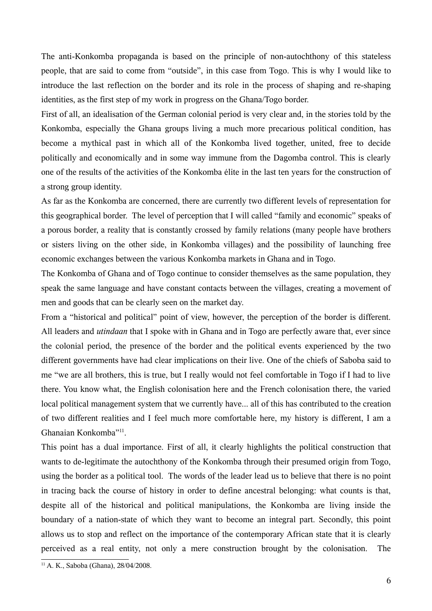The anti-Konkomba propaganda is based on the principle of non-autochthony of this stateless people, that are said to come from "outside", in this case from Togo. This is why I would like to introduce the last reflection on the border and its role in the process of shaping and re-shaping identities, as the first step of my work in progress on the Ghana/Togo border.

First of all, an idealisation of the German colonial period is very clear and, in the stories told by the Konkomba, especially the Ghana groups living a much more precarious political condition, has become a mythical past in which all of the Konkomba lived together, united, free to decide politically and economically and in some way immune from the Dagomba control. This is clearly one of the results of the activities of the Konkomba élite in the last ten years for the construction of a strong group identity.

As far as the Konkomba are concerned, there are currently two different levels of representation for this geographical border. The level of perception that I will called "family and economic" speaks of a porous border, a reality that is constantly crossed by family relations (many people have brothers or sisters living on the other side, in Konkomba villages) and the possibility of launching free economic exchanges between the various Konkomba markets in Ghana and in Togo.

The Konkomba of Ghana and of Togo continue to consider themselves as the same population, they speak the same language and have constant contacts between the villages, creating a movement of men and goods that can be clearly seen on the market day.

From a "historical and political" point of view, however, the perception of the border is different. All leaders and *utindaan* that I spoke with in Ghana and in Togo are perfectly aware that, ever since the colonial period, the presence of the border and the political events experienced by the two different governments have had clear implications on their live. One of the chiefs of Saboba said to me "we are all brothers, this is true, but I really would not feel comfortable in Togo if I had to live there. You know what, the English colonisation here and the French colonisation there, the varied local political management system that we currently have... all of this has contributed to the creation of two different realities and I feel much more comfortable here, my history is different, I am a Ghanaian Konkomba" [11](#page-5-0) .

This point has a dual importance. First of all, it clearly highlights the political construction that wants to de-legitimate the autochthony of the Konkomba through their presumed origin from Togo, using the border as a political tool. The words of the leader lead us to believe that there is no point in tracing back the course of history in order to define ancestral belonging: what counts is that, despite all of the historical and political manipulations, the Konkomba are living inside the boundary of a nation-state of which they want to become an integral part. Secondly, this point allows us to stop and reflect on the importance of the contemporary African state that it is clearly perceived as a real entity, not only a mere construction brought by the colonisation. The

<span id="page-5-0"></span> $11$  A. K., Saboba (Ghana), 28/04/2008.